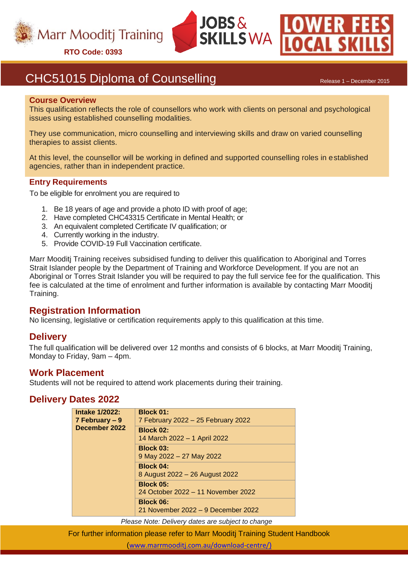

**RTO Code: 0393**





# CHC51015 Diploma of Counselling Release 1 – December 2015

#### **Course Overview**

This qualification reflects the role of counsellors who work with clients on personal and psychological issues using established counselling modalities.

They use communication, micro counselling and interviewing skills and draw on varied counselling therapies to assist clients.

At this level, the counsellor will be working in defined and supported counselling roles in established agencies, rather than in independent practice.

#### **Entry Requirements**

To be eligible for enrolment you are required to

- 1. Be 18 years of age and provide a photo ID with proof of age;
- 2. Have completed CHC43315 Certificate in Mental Health; or
- 3. An equivalent completed Certificate IV qualification; or
- 4. Currently working in the industry.
- 5. Provide COVID-19 Full Vaccination certificate.

Marr Mooditj Training receives subsidised funding to deliver this qualification to Aboriginal and Torres Strait Islander people by the Department of Training and Workforce Development. If you are not an Aboriginal or Torres Strait Islander you will be required to pay the full service fee for the qualification. This fee is calculated at the time of enrolment and further information is available by contacting Marr Mooditj Training.

## **Registration Information**

No licensing, legislative or certification requirements apply to this qualification at this time.

### **Delivery**

The full qualification will be delivered over 12 months and consists of 6 blocks, at Marr Mooditj Training, Monday to Friday, 9am – 4pm.

### **Work Placement**

Students will not be required to attend work placements during their training.

## **Delivery Dates 2022**

| <b>Intake 1/2022:</b><br>$7$ February – 9<br>December 2022 | <b>Block 01:</b><br>7 February 2022 - 25 February 2022 |
|------------------------------------------------------------|--------------------------------------------------------|
|                                                            | <b>Block 02:</b><br>14 March 2022 - 1 April 2022       |
|                                                            | <b>Block 03:</b><br>9 May 2022 - 27 May 2022           |
|                                                            | <b>Block 04:</b><br>8 August 2022 - 26 August 2022     |
|                                                            | <b>Block 05:</b><br>24 October 2022 – 11 November 2022 |
|                                                            | <b>Block 06:</b><br>21 November 2022 – 9 December 2022 |

*Please Note: Delivery dates are subject to change*

For further information please refer to Marr Mooditj Training Student Handbook

([www.marrmooditj.com.au/download-centre/](http://www.marrmooditj.com.au/download-centre/)))